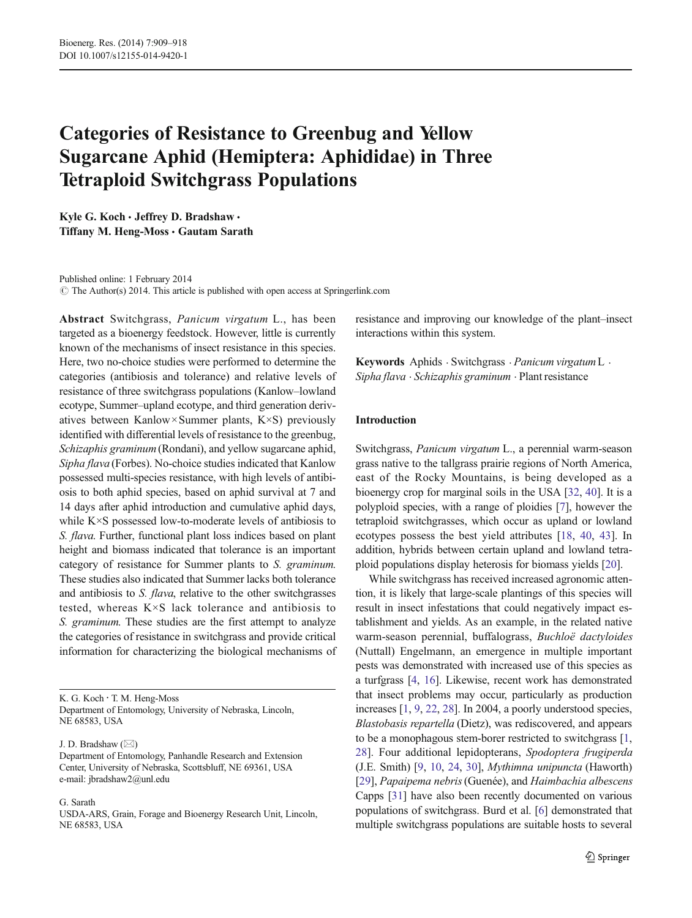# Categories of Resistance to Greenbug and Yellow Sugarcane Aphid (Hemiptera: Aphididae) in Three Tetraploid Switchgrass Populations

Kyle G. Koch · Jeffrey D. Bradshaw · Tiffany M. Heng-Moss · Gautam Sarath

Published online: 1 February 2014  $\odot$  The Author(s) 2014. This article is published with open access at Springerlink.com

Abstract Switchgrass, Panicum virgatum L., has been targeted as a bioenergy feedstock. However, little is currently known of the mechanisms of insect resistance in this species. Here, two no-choice studies were performed to determine the categories (antibiosis and tolerance) and relative levels of resistance of three switchgrass populations (Kanlow–lowland ecotype, Summer–upland ecotype, and third generation derivatives between Kanlow×Summer plants, K×S) previously identified with differential levels of resistance to the greenbug, Schizaphis graminum(Rondani), and yellow sugarcane aphid, Sipha flava (Forbes). No-choice studies indicated that Kanlow possessed multi-species resistance, with high levels of antibiosis to both aphid species, based on aphid survival at 7 and 14 days after aphid introduction and cumulative aphid days, while K×S possessed low-to-moderate levels of antibiosis to S. flava. Further, functional plant loss indices based on plant height and biomass indicated that tolerance is an important category of resistance for Summer plants to S. graminum. These studies also indicated that Summer lacks both tolerance and antibiosis to S. flava, relative to the other switchgrasses tested, whereas K×S lack tolerance and antibiosis to S. graminum. These studies are the first attempt to analyze the categories of resistance in switchgrass and provide critical information for characterizing the biological mechanisms of

K. G. Koch : T. M. Heng-Moss Department of Entomology, University of Nebraska, Lincoln, NE 68583, USA

J. D. Bradshaw  $(\boxtimes)$ 

#### G. Sarath

USDA-ARS, Grain, Forage and Bioenergy Research Unit, Lincoln, NE 68583, USA

resistance and improving our knowledge of the plant–insect interactions within this system.

Keywords Aphids . Switchgrass . Panicum virgatumL . Sipha flava . Schizaphis graminum . Plant resistance

## Introduction

Switchgrass, Panicum virgatum L., a perennial warm-season grass native to the tallgrass prairie regions of North America, east of the Rocky Mountains, is being developed as a bioenergy crop for marginal soils in the USA [\[32,](#page-9-0) [40\]](#page-9-0). It is a polyploid species, with a range of ploidies [[7\]](#page-8-0), however the tetraploid switchgrasses, which occur as upland or lowland ecotypes possess the best yield attributes [[18,](#page-8-0) [40](#page-9-0), [43](#page-9-0)]. In addition, hybrids between certain upland and lowland tetraploid populations display heterosis for biomass yields [\[20\]](#page-8-0).

While switchgrass has received increased agronomic attention, it is likely that large-scale plantings of this species will result in insect infestations that could negatively impact establishment and yields. As an example, in the related native warm-season perennial, buffalograss, Buchloë dactyloides (Nuttall) Engelmann, an emergence in multiple important pests was demonstrated with increased use of this species as a turfgrass [\[4](#page-8-0), [16\]](#page-8-0). Likewise, recent work has demonstrated that insect problems may occur, particularly as production increases [[1,](#page-8-0) [9,](#page-8-0) [22](#page-8-0), [28\]](#page-9-0). In 2004, a poorly understood species, Blastobasis repartella (Dietz), was rediscovered, and appears to be a monophagous stem-borer restricted to switchgrass [[1,](#page-8-0) [28](#page-9-0)]. Four additional lepidopterans, Spodoptera frugiperda (J.E. Smith) [[9,](#page-8-0) [10](#page-8-0), [24,](#page-8-0) [30](#page-9-0)], Mythimna unipuncta (Haworth) [\[29](#page-9-0)], Papaipema nebris(Guenée), and Haimbachia albescens Capps [\[31](#page-9-0)] have also been recently documented on various populations of switchgrass. Burd et al. [[6\]](#page-8-0) demonstrated that multiple switchgrass populations are suitable hosts to several

Department of Entomology, Panhandle Research and Extension Center, University of Nebraska, Scottsbluff, NE 69361, USA e-mail: jbradshaw2@unl.edu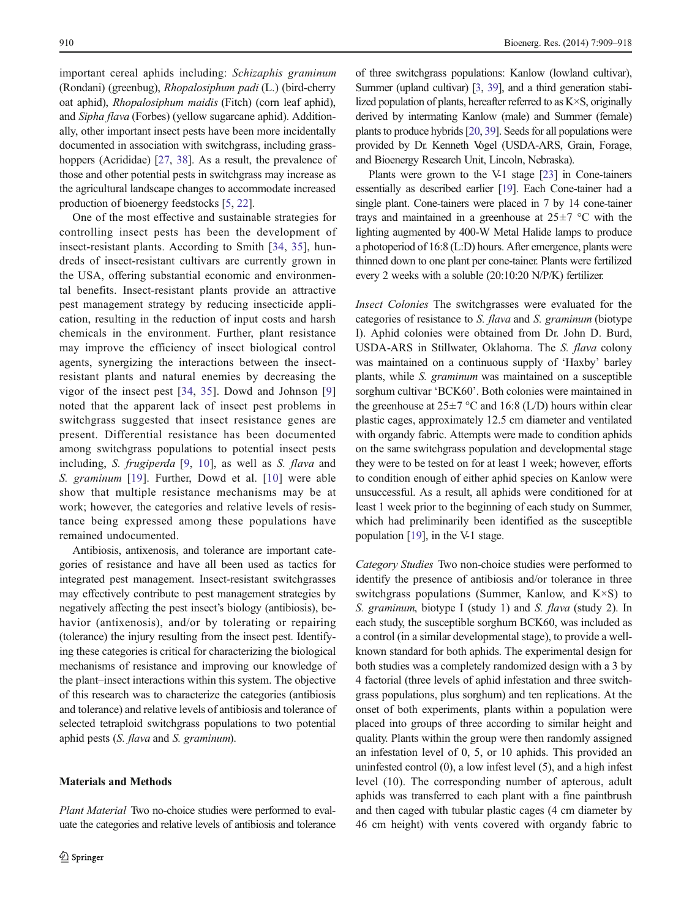important cereal aphids including: Schizaphis graminum (Rondani) (greenbug), Rhopalosiphum padi (L.) (bird-cherry oat aphid), Rhopalosiphum maidis (Fitch) (corn leaf aphid), and Sipha flava (Forbes) (yellow sugarcane aphid). Additionally, other important insect pests have been more incidentally documented in association with switchgrass, including grass-hoppers (Acrididae) [\[27](#page-9-0), [38\]](#page-9-0). As a result, the prevalence of those and other potential pests in switchgrass may increase as the agricultural landscape changes to accommodate increased production of bioenergy feedstocks [\[5](#page-8-0), [22\]](#page-8-0).

One of the most effective and sustainable strategies for controlling insect pests has been the development of insect-resistant plants. According to Smith [[34,](#page-9-0) [35](#page-9-0)], hundreds of insect-resistant cultivars are currently grown in the USA, offering substantial economic and environmental benefits. Insect-resistant plants provide an attractive pest management strategy by reducing insecticide application, resulting in the reduction of input costs and harsh chemicals in the environment. Further, plant resistance may improve the efficiency of insect biological control agents, synergizing the interactions between the insectresistant plants and natural enemies by decreasing the vigor of the insect pest [\[34](#page-9-0), [35](#page-9-0)]. Dowd and Johnson [[9\]](#page-8-0) noted that the apparent lack of insect pest problems in switchgrass suggested that insect resistance genes are present. Differential resistance has been documented among switchgrass populations to potential insect pests including, S. frugiperda [\[9](#page-8-0), [10\]](#page-8-0), as well as S. flava and S. graminum [[19\]](#page-8-0). Further, Dowd et al. [[10\]](#page-8-0) were able show that multiple resistance mechanisms may be at work; however, the categories and relative levels of resistance being expressed among these populations have remained undocumented.

Antibiosis, antixenosis, and tolerance are important categories of resistance and have all been used as tactics for integrated pest management. Insect-resistant switchgrasses may effectively contribute to pest management strategies by negatively affecting the pest insect's biology (antibiosis), behavior (antixenosis), and/or by tolerating or repairing (tolerance) the injury resulting from the insect pest. Identifying these categories is critical for characterizing the biological mechanisms of resistance and improving our knowledge of the plant–insect interactions within this system. The objective of this research was to characterize the categories (antibiosis and tolerance) and relative levels of antibiosis and tolerance of selected tetraploid switchgrass populations to two potential aphid pests (S. flava and S. graminum).

### Materials and Methods

Plant Material Two no-choice studies were performed to evaluate the categories and relative levels of antibiosis and tolerance of three switchgrass populations: Kanlow (lowland cultivar), Summer (upland cultivar) [\[3](#page-8-0), [39\]](#page-9-0), and a third generation stabilized population of plants, hereafter referred to as K×S, originally derived by intermating Kanlow (male) and Summer (female) plants to produce hybrids [[20](#page-8-0), [39\]](#page-9-0). Seeds for all populations were provided by Dr. Kenneth Vogel (USDA-ARS, Grain, Forage, and Bioenergy Research Unit, Lincoln, Nebraska).

Plants were grown to the V-1 stage [\[23\]](#page-8-0) in Cone-tainers essentially as described earlier [\[19](#page-8-0)]. Each Cone-tainer had a single plant. Cone-tainers were placed in 7 by 14 cone-tainer trays and maintained in a greenhouse at  $25\pm7$  °C with the lighting augmented by 400-W Metal Halide lamps to produce a photoperiod of 16:8 (L:D) hours. After emergence, plants were thinned down to one plant per cone-tainer. Plants were fertilized every 2 weeks with a soluble (20:10:20 N/P/K) fertilizer.

Insect Colonies The switchgrasses were evaluated for the categories of resistance to S. flava and S. graminum (biotype I). Aphid colonies were obtained from Dr. John D. Burd, USDA-ARS in Stillwater, Oklahoma. The S. flava colony was maintained on a continuous supply of 'Haxby' barley plants, while S. graminum was maintained on a susceptible sorghum cultivar 'BCK60'. Both colonies were maintained in the greenhouse at  $25\pm7$  °C and 16:8 (L/D) hours within clear plastic cages, approximately 12.5 cm diameter and ventilated with organdy fabric. Attempts were made to condition aphids on the same switchgrass population and developmental stage they were to be tested on for at least 1 week; however, efforts to condition enough of either aphid species on Kanlow were unsuccessful. As a result, all aphids were conditioned for at least 1 week prior to the beginning of each study on Summer, which had preliminarily been identified as the susceptible population [\[19](#page-8-0)], in the V-1 stage.

Category Studies Two non-choice studies were performed to identify the presence of antibiosis and/or tolerance in three switchgrass populations (Summer, Kanlow, and  $K \times S$ ) to S. graminum, biotype I (study 1) and S. flava (study 2). In each study, the susceptible sorghum BCK60, was included as a control (in a similar developmental stage), to provide a wellknown standard for both aphids. The experimental design for both studies was a completely randomized design with a 3 by 4 factorial (three levels of aphid infestation and three switchgrass populations, plus sorghum) and ten replications. At the onset of both experiments, plants within a population were placed into groups of three according to similar height and quality. Plants within the group were then randomly assigned an infestation level of 0, 5, or 10 aphids. This provided an uninfested control (0), a low infest level (5), and a high infest level (10). The corresponding number of apterous, adult aphids was transferred to each plant with a fine paintbrush and then caged with tubular plastic cages (4 cm diameter by 46 cm height) with vents covered with organdy fabric to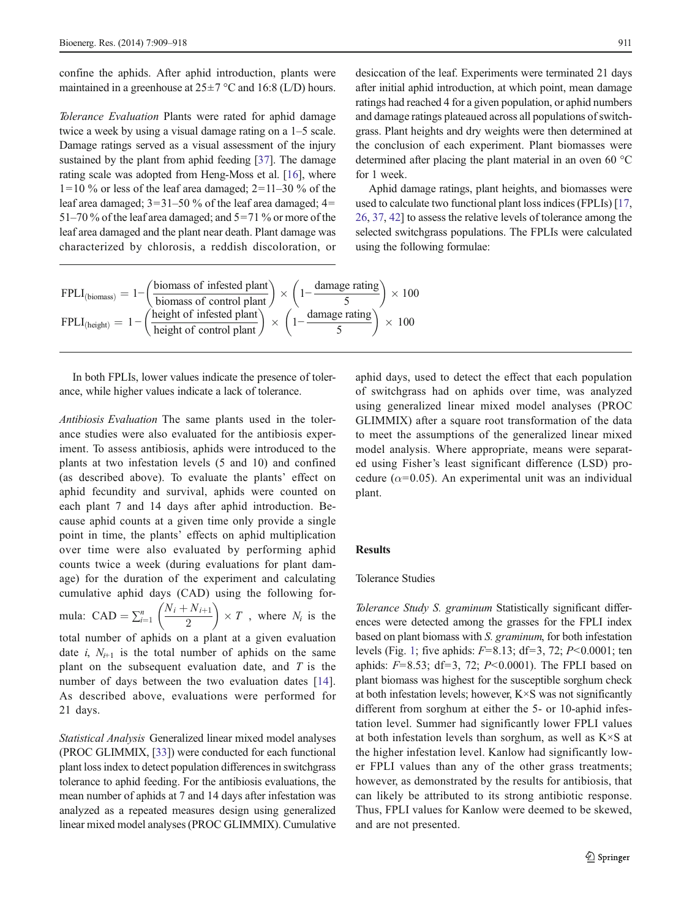confine the aphids. After aphid introduction, plants were maintained in a greenhouse at  $25\pm7$  °C and 16:8 (L/D) hours.

Tolerance Evaluation Plants were rated for aphid damage twice a week by using a visual damage rating on a 1–5 scale. Damage ratings served as a visual assessment of the injury sustained by the plant from aphid feeding [\[37\]](#page-9-0). The damage rating scale was adopted from Heng-Moss et al. [\[16\]](#page-8-0), where  $1=10\%$  or less of the leaf area damaged;  $2=11-30\%$  of the leaf area damaged;  $3=31-50$  % of the leaf area damaged;  $4=$ 51–70 % of the leaf area damaged; and 5=71 % or more of the leaf area damaged and the plant near death. Plant damage was characterized by chlorosis, a reddish discoloration, or

 $FPLI_{(biomass)} = 1 - \left(\frac{biomass\ of\ infected\ plant}{biomass\ of\ control\ plant}\right) \times \left(1 - \frac{\ damage\ rating}{5}\right) \times 100$  $FPLI_{(height)} = 1 - \left(\frac{\text{height of infected plant}}{\text{height of control plant}}\right) \times \left(1 - \frac{\text{damage rating}}{5}\right) \times 100$ 

In both FPLIs, lower values indicate the presence of tolerance, while higher values indicate a lack of tolerance.

Antibiosis Evaluation The same plants used in the tolerance studies were also evaluated for the antibiosis experiment. To assess antibiosis, aphids were introduced to the plants at two infestation levels (5 and 10) and confined (as described above). To evaluate the plants' effect on aphid fecundity and survival, aphids were counted on each plant 7 and 14 days after aphid introduction. Because aphid counts at a given time only provide a single point in time, the plants' effects on aphid multiplication over time were also evaluated by performing aphid counts twice a week (during evaluations for plant damage) for the duration of the experiment and calculating cumulative aphid days (CAD) using the following formula: CAD =  $\sum_{i=1}^{n} \left( \frac{N_i + N_{i+1}}{2} \right)$  $\left(\frac{N_i+N_{i+1}}{2}\right) \times T$ , where  $N_i$  is the total number of aphids on a plant at a given evaluation date i,  $N_{i+1}$  is the total number of aphids on the same

plant on the subsequent evaluation date, and  $T$  is the number of days between the two evaluation dates [\[14](#page-8-0)]. As described above, evaluations were performed for 21 days.

Statistical Analysis Generalized linear mixed model analyses (PROC GLIMMIX, [\[33\]](#page-9-0)) were conducted for each functional plant loss index to detect population differences in switchgrass tolerance to aphid feeding. For the antibiosis evaluations, the mean number of aphids at 7 and 14 days after infestation was analyzed as a repeated measures design using generalized linear mixed model analyses (PROC GLIMMIX). Cumulative desiccation of the leaf. Experiments were terminated 21 days after initial aphid introduction, at which point, mean damage ratings had reached 4 for a given population, or aphid numbers and damage ratings plateaued across all populations of switchgrass. Plant heights and dry weights were then determined at the conclusion of each experiment. Plant biomasses were determined after placing the plant material in an oven 60 °C for 1 week.

Aphid damage ratings, plant heights, and biomasses were used to calculate two functional plant loss indices (FPLIs) [\[17,](#page-8-0) [26,](#page-9-0) [37](#page-9-0), [42\]](#page-9-0) to assess the relative levels of tolerance among the selected switchgrass populations. The FPLIs were calculated using the following formulae:

aphid days, used to detect the effect that each population of switchgrass had on aphids over time, was analyzed using generalized linear mixed model analyses (PROC GLIMMIX) after a square root transformation of the data to meet the assumptions of the generalized linear mixed model analysis. Where appropriate, means were separated using Fisher's least significant difference (LSD) procedure ( $\alpha$ =0.05). An experimental unit was an individual plant.

#### Results

## Tolerance Studies

Tolerance Study S. graminum Statistically significant differences were detected among the grasses for the FPLI index based on plant biomass with S. graminum, for both infestation levels (Fig. [1;](#page-3-0) five aphids:  $F=8.13$ ; df=3, 72;  $P<0.0001$ ; ten aphids:  $F=8.53$ ; df=3, 72;  $P<0.0001$ ). The FPLI based on plant biomass was highest for the susceptible sorghum check at both infestation levels; however, K×S was not significantly different from sorghum at either the 5- or 10-aphid infestation level. Summer had significantly lower FPLI values at both infestation levels than sorghum, as well as K×S at the higher infestation level. Kanlow had significantly lower FPLI values than any of the other grass treatments; however, as demonstrated by the results for antibiosis, that can likely be attributed to its strong antibiotic response. Thus, FPLI values for Kanlow were deemed to be skewed, and are not presented.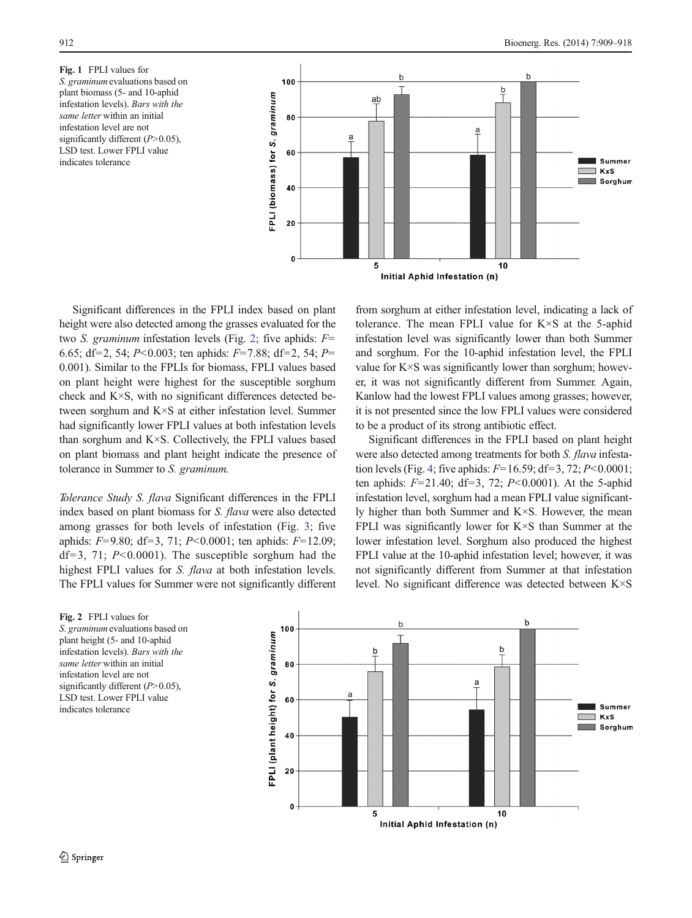<span id="page-3-0"></span>Fig. 1 FPLI values for S. graminum evaluations based on plant biomass (5- and 10-aphid infestation levels). Bars with the same letter within an initial infestation level are not significantly different  $(P>0.05)$ , LSD test. Lower FPLI value indicates tolerance



Significant differences in the FPLI index based on plant height were also detected among the grasses evaluated for the two *S. graminum* infestation levels (Fig. 2; five aphids:  $F=$ 6.65; df=2, 54; P<0.003; ten aphids: F=7.88; df=2, 54; P= 0.001). Similar to the FPLIs for biomass, FPLI values based on plant height were highest for the susceptible sorghum check and K×S, with no significant differences detected between sorghum and K×S at either infestation level. Summer had significantly lower FPLI values at both infestation levels than sorghum and K×S. Collectively, the FPLI values based on plant biomass and plant height indicate the presence of tolerance in Summer to S. graminum.

Tolerance Study S. flava Significant differences in the FPLI index based on plant biomass for S. flava were also detected among grasses for both levels of infestation (Fig. [3;](#page-4-0) five aphids:  $F=9.80$ ; df=3, 71;  $P<0.0001$ ; ten aphids:  $F=12.09$ ; df=3, 71;  $P<0.0001$ ). The susceptible sorghum had the highest FPLI values for S. flava at both infestation levels. The FPLI values for Summer were not significantly different

from sorghum at either infestation level, indicating a lack of tolerance. The mean FPLI value for K×S at the 5-aphid infestation level was significantly lower than both Summer and sorghum. For the 10-aphid infestation level, the FPLI value for K×S was significantly lower than sorghum; however, it was not significantly different from Summer. Again, Kanlow had the lowest FPLI values among grasses; however, it is not presented since the low FPLI values were considered to be a product of its strong antibiotic effect.

Significant differences in the FPLI based on plant height were also detected among treatments for both *S. flava* infesta-tion levels (Fig. [4;](#page-4-0) five aphids:  $F=16.59$ ; df=3, 72;  $P<0.0001$ ; ten aphids:  $F=21.40$ ; df=3, 72;  $P<0.0001$ ). At the 5-aphid infestation level, sorghum had a mean FPLI value significantly higher than both Summer and K×S. However, the mean FPLI was significantly lower for K×S than Summer at the lower infestation level. Sorghum also produced the highest FPLI value at the 10-aphid infestation level; however, it was not significantly different from Summer at that infestation level. No significant difference was detected between K×S

Fig. 2 FPLI values for S. *graminum* evaluations based on plant height (5- and 10-aphid infestation levels). Bars with the same letter within an initial infestation level are not significantly different  $(P>0.05)$ , LSD test. Lower FPLI value indicates tolerance

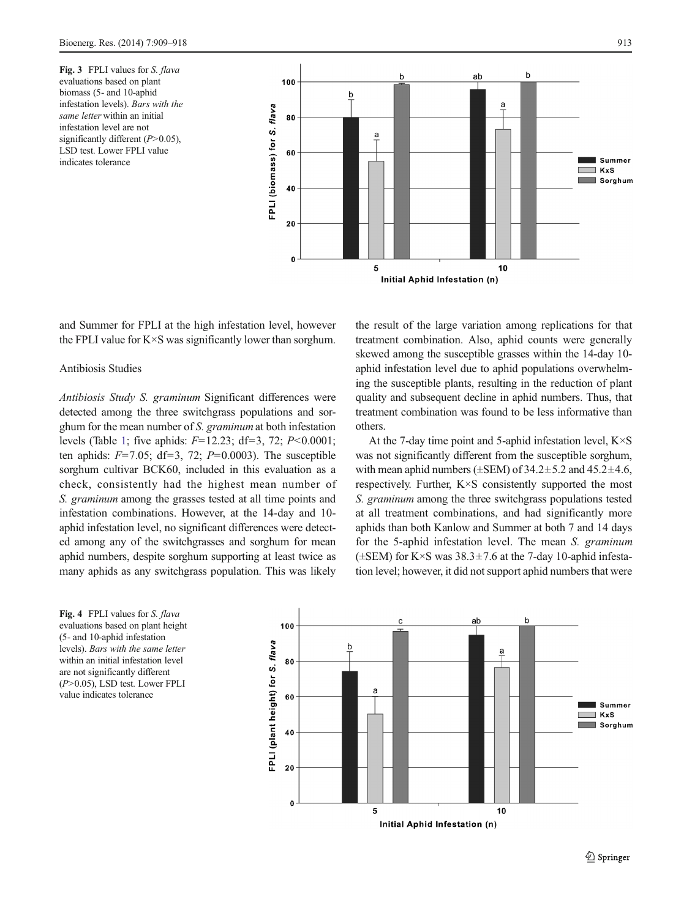<span id="page-4-0"></span>Fig. 3 FPLI values for S. flava evaluations based on plant biomass (5- and 10-aphid infestation levels). Bars with the same letter within an initial infestation level are not significantly different  $(P>0.05)$ , LSD test. Lower FPLI value indicates tolerance



and Summer for FPLI at the high infestation level, however the FPLI value for K×S was significantly lower than sorghum.

## Antibiosis Studies

Antibiosis Study S. graminum Significant differences were detected among the three switchgrass populations and sorghum for the mean number of S. graminum at both infestation levels (Table [1;](#page-5-0) five aphids:  $F=12.23$ ; df=3, 72;  $P<0.0001$ ; ten aphids:  $F=7.05$ ; df=3, 72;  $P=0.0003$ ). The susceptible sorghum cultivar BCK60, included in this evaluation as a check, consistently had the highest mean number of S. graminum among the grasses tested at all time points and infestation combinations. However, at the 14-day and 10 aphid infestation level, no significant differences were detected among any of the switchgrasses and sorghum for mean aphid numbers, despite sorghum supporting at least twice as many aphids as any switchgrass population. This was likely

the result of the large variation among replications for that treatment combination. Also, aphid counts were generally skewed among the susceptible grasses within the 14-day 10 aphid infestation level due to aphid populations overwhelming the susceptible plants, resulting in the reduction of plant quality and subsequent decline in aphid numbers. Thus, that treatment combination was found to be less informative than others.

At the 7-day time point and 5-aphid infestation level, K×S was not significantly different from the susceptible sorghum, with mean aphid numbers ( $\pm$ SEM) of 34.2 $\pm$ 5.2 and 45.2 $\pm$ 4.6, respectively. Further, K×S consistently supported the most S. graminum among the three switchgrass populations tested at all treatment combinations, and had significantly more aphids than both Kanlow and Summer at both 7 and 14 days for the 5-aphid infestation level. The mean S. graminum  $(\pm$ SEM) for K×S was 38.3 $\pm$ 7.6 at the 7-day 10-aphid infestation level; however, it did not support aphid numbers that were

Fig. 4 FPLI values for S. flava evaluations based on plant height (5- and 10-aphid infestation levels). Bars with the same letter within an initial infestation level are not significantly different (P>0.05), LSD test. Lower FPLI value indicates tolerance

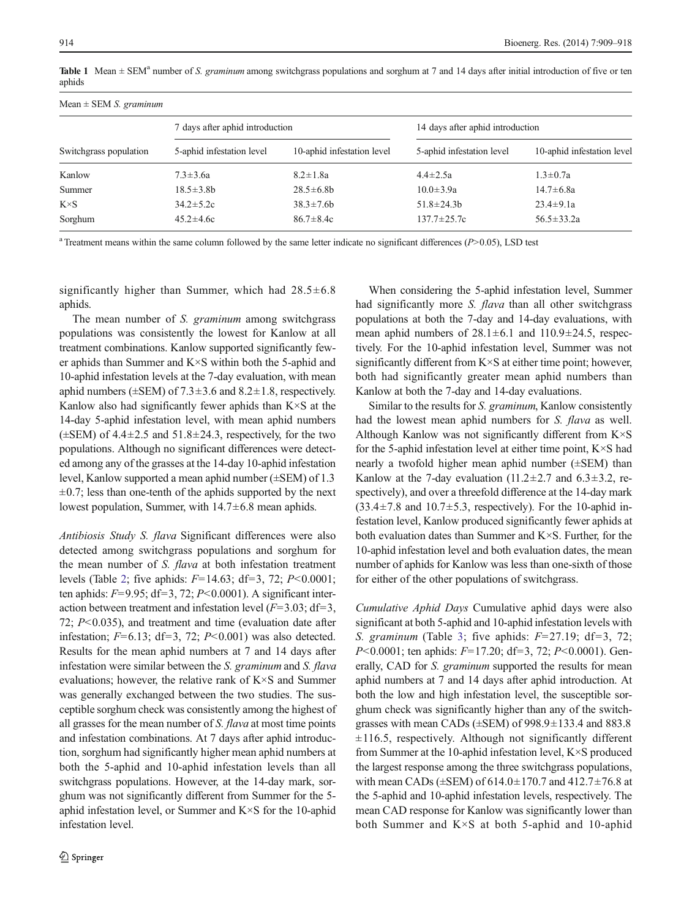<span id="page-5-0"></span>Table 1 Mean  $\pm$  SEM<sup>a</sup> number of S. graminum among switchgrass populations and sorghum at 7 and 14 days after initial introduction of five or ten aphids

| Mean $\pm$ SEM <i>S. graminum</i> |                                 |                            |                                  |                            |  |  |  |
|-----------------------------------|---------------------------------|----------------------------|----------------------------------|----------------------------|--|--|--|
| Switchgrass population            | 7 days after aphid introduction |                            | 14 days after aphid introduction |                            |  |  |  |
|                                   | 5-aphid infestation level       | 10-aphid infestation level | 5-aphid infestation level        | 10-aphid infestation level |  |  |  |
| Kanlow                            | $7.3 \pm 3.6a$                  | $8.2 \pm 1.8a$             | $4.4 \pm 2.5a$                   | $1.3 \pm 0.7a$             |  |  |  |
| Summer                            | $18.5 \pm 3.8b$                 | $28.5 \pm 6.8b$            | $10.0 \pm 3.9a$                  | $14.7 \pm 6.8a$            |  |  |  |
| $K \times S$                      | $34.2 \pm 5.2c$                 | $38.3 \pm 7.6b$            | $51.8 \pm 24.3 b$                | $23.4 \pm 9.1a$            |  |  |  |
| Sorghum                           | $45.2 \pm 4.6c$                 | $86.7 \pm 8.4c$            | $137.7 \pm 25.7c$                | $56.5 \pm 33.2a$           |  |  |  |

 $a$  Treatment means within the same column followed by the same letter indicate no significant differences ( $P$ >0.05), LSD test

significantly higher than Summer, which had  $28.5 \pm 6.8$ aphids.

The mean number of *S. graminum* among switchgrass populations was consistently the lowest for Kanlow at all treatment combinations. Kanlow supported significantly fewer aphids than Summer and K×S within both the 5-aphid and 10-aphid infestation levels at the 7-day evaluation, with mean aphid numbers ( $\pm$ SEM) of 7.3 $\pm$ 3.6 and 8.2 $\pm$ 1.8, respectively. Kanlow also had significantly fewer aphids than  $K \times S$  at the 14-day 5-aphid infestation level, with mean aphid numbers  $(\pm$ SEM) of 4.4 $\pm$ 2.5 and 51.8 $\pm$ 24.3, respectively, for the two populations. Although no significant differences were detected among any of the grasses at the 14-day 10-aphid infestation level, Kanlow supported a mean aphid number (±SEM) of 1.3  $\pm 0.7$ ; less than one-tenth of the aphids supported by the next lowest population, Summer, with 14.7±6.8 mean aphids.

Antibiosis Study S. flava Significant differences were also detected among switchgrass populations and sorghum for the mean number of S. *flava* at both infestation treatment levels (Table [2;](#page-6-0) five aphids:  $F=14.63$ ; df=3, 72;  $P<0.0001$ ; ten aphids:  $F=9.95$ ; df=3, 72;  $P<0.0001$ ). A significant interaction between treatment and infestation level  $(F=3.03; df=3,$ 72;  $P<0.035$ ), and treatment and time (evaluation date after infestation;  $F=6.13$ ; df=3, 72;  $P<0.001$ ) was also detected. Results for the mean aphid numbers at 7 and 14 days after infestation were similar between the S. graminum and S. flava evaluations; however, the relative rank of K×S and Summer was generally exchanged between the two studies. The susceptible sorghum check was consistently among the highest of all grasses for the mean number of S. flava at most time points and infestation combinations. At 7 days after aphid introduction, sorghum had significantly higher mean aphid numbers at both the 5-aphid and 10-aphid infestation levels than all switchgrass populations. However, at the 14-day mark, sorghum was not significantly different from Summer for the 5 aphid infestation level, or Summer and K×S for the 10-aphid infestation level.

When considering the 5-aphid infestation level, Summer had significantly more *S. flava* than all other switchgrass populations at both the 7-day and 14-day evaluations, with mean aphid numbers of  $28.1 \pm 6.1$  and  $110.9 \pm 24.5$ , respectively. For the 10-aphid infestation level, Summer was not significantly different from  $K \times S$  at either time point; however, both had significantly greater mean aphid numbers than Kanlow at both the 7-day and 14-day evaluations.

Similar to the results for S. graminum, Kanlow consistently had the lowest mean aphid numbers for S. flava as well. Although Kanlow was not significantly different from K×S for the 5-aphid infestation level at either time point, K×S had nearly a twofold higher mean aphid number (±SEM) than Kanlow at the 7-day evaluation  $(11.2\pm2.7$  and  $6.3\pm3.2$ , respectively), and over a threefold difference at the 14-day mark  $(33.4\pm7.8$  and  $10.7\pm5.3$ , respectively). For the 10-aphid infestation level, Kanlow produced significantly fewer aphids at both evaluation dates than Summer and K×S. Further, for the 10-aphid infestation level and both evaluation dates, the mean number of aphids for Kanlow was less than one-sixth of those for either of the other populations of switchgrass.

Cumulative Aphid Days Cumulative aphid days were also significant at both 5-aphid and 10-aphid infestation levels with S. graminum (Table [3](#page-6-0); five aphids:  $F=27.19$ ; df=3, 72; P<0.0001; ten aphids: F=17.20; df=3, 72; P<0.0001). Generally, CAD for *S. graminum* supported the results for mean aphid numbers at 7 and 14 days after aphid introduction. At both the low and high infestation level, the susceptible sorghum check was significantly higher than any of the switchgrasses with mean CADs ( $\pm$ SEM) of 998.9 $\pm$ 133.4 and 883.8  $\pm 116.5$ , respectively. Although not significantly different from Summer at the 10-aphid infestation level, K×S produced the largest response among the three switchgrass populations, with mean CADs ( $\pm$ SEM) of 614.0 $\pm$ 170.7 and 412.7 $\pm$ 76.8 at the 5-aphid and 10-aphid infestation levels, respectively. The mean CAD response for Kanlow was significantly lower than both Summer and K×S at both 5-aphid and 10-aphid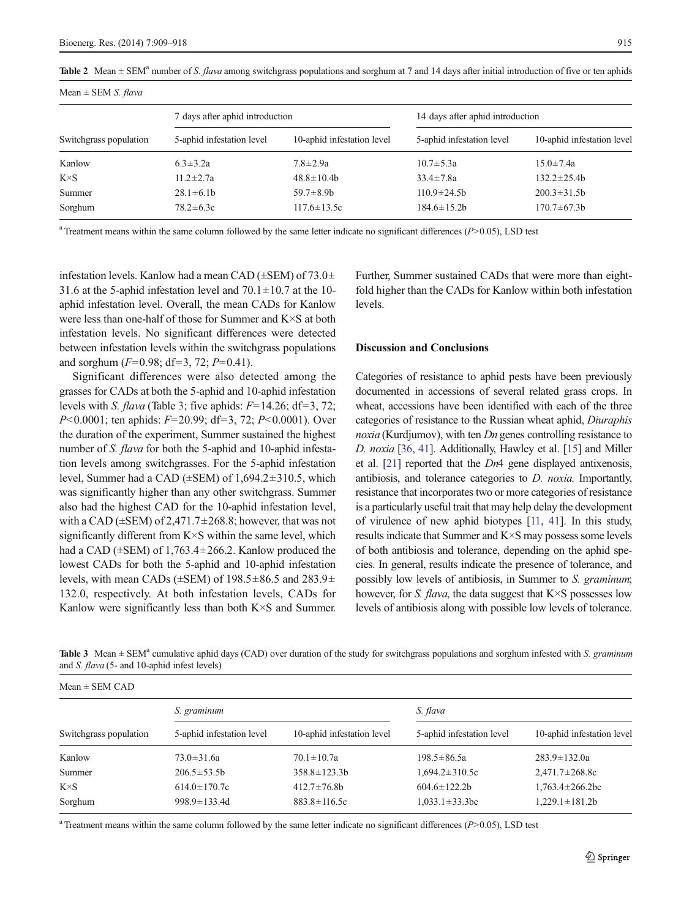| Mean $\pm$ SEM <i>S. flava</i> |                                 |                            |                                  |                            |  |  |  |
|--------------------------------|---------------------------------|----------------------------|----------------------------------|----------------------------|--|--|--|
| Switchgrass population         | 7 days after aphid introduction |                            | 14 days after aphid introduction |                            |  |  |  |
|                                | 5-aphid infestation level       | 10-aphid infestation level | 5-aphid infestation level        | 10-aphid infestation level |  |  |  |
| Kanlow                         | $6.3 \pm 3.2a$                  | $7.8 \pm 2.9a$             | $10.7 \pm 5.3a$                  | $15.0 \pm 7.4a$            |  |  |  |
| $K \times S$                   | $11.2 \pm 2.7a$                 | $48.8 \pm 10.4b$           | $33.4 \pm 7.8a$                  | $132.2 \pm 25.4b$          |  |  |  |
| Summer                         | $28.1 \pm 6.1b$                 | $59.7 \pm 8.9$ b           | $110.9 \pm 24.5b$                | $200.3 \pm 31.5b$          |  |  |  |
| Sorghum                        | $78.2 \pm 6.3c$                 | $117.6 \pm 13.5c$          | $184.6 \pm 15.2b$                | $170.7 \pm 67.3 b$         |  |  |  |

<span id="page-6-0"></span>Table 2 Mean  $\pm$  SEM<sup>a</sup> number of S. *flava* among switchgrass populations and sorghum at 7 and 14 days after initial introduction of five or ten aphids

<sup>a</sup> Treatment means within the same column followed by the same letter indicate no significant differences  $(P>0.05)$ , LSD test

infestation levels. Kanlow had a mean CAD ( $\pm$ SEM) of 73.0 $\pm$ 31.6 at the 5-aphid infestation level and  $70.1 \pm 10.7$  at the 10aphid infestation level. Overall, the mean CADs for Kanlow were less than one-half of those for Summer and K×S at both infestation levels. No significant differences were detected between infestation levels within the switchgrass populations and sorghum  $(F=0.98; df=3, 72; P=0.41)$ .

Significant differences were also detected among the grasses for CADs at both the 5-aphid and 10-aphid infestation levels with S. *flava* (Table 3; five aphids:  $F=14.26$ ; df=3, 72; P<0.0001; ten aphids: F=20.99; df=3, 72; P<0.0001). Over the duration of the experiment, Summer sustained the highest number of *S. flava* for both the 5-aphid and 10-aphid infestation levels among switchgrasses. For the 5-aphid infestation level, Summer had a CAD (±SEM) of 1,694.2±310.5, which was significantly higher than any other switchgrass. Summer also had the highest CAD for the 10-aphid infestation level, with a CAD ( $\pm$ SEM) of 2,471.7 $\pm$ 268.8; however, that was not significantly different from K×S within the same level, which had a CAD ( $\pm$ SEM) of 1,763.4 $\pm$ 266.2. Kanlow produced the lowest CADs for both the 5-aphid and 10-aphid infestation levels, with mean CADs ( $\pm$ SEM) of 198.5 $\pm$ 86.5 and 283.9 $\pm$ 132.0, respectively. At both infestation levels, CADs for Kanlow were significantly less than both K×S and Summer.

Further, Summer sustained CADs that were more than eightfold higher than the CADs for Kanlow within both infestation levels.

## Discussion and Conclusions

Categories of resistance to aphid pests have been previously documented in accessions of several related grass crops. In wheat, accessions have been identified with each of the three categories of resistance to the Russian wheat aphid, Diuraphis noxia (Kurdjumov), with ten Dn genes controlling resistance to D. noxia [\[36,](#page-9-0) [41\]](#page-9-0). Additionally, Hawley et al. [\[15\]](#page-8-0) and Miller et al.  $[21]$  $[21]$  $[21]$  reported that the *Dn*4 gene displayed antixenosis, antibiosis, and tolerance categories to D. noxia. Importantly, resistance that incorporates two or more categories of resistance is a particularly useful trait that may help delay the development of virulence of new aphid biotypes [[11,](#page-8-0) [41](#page-9-0)]. In this study, results indicate that Summer and K×S may possess some levels of both antibiosis and tolerance, depending on the aphid species. In general, results indicate the presence of tolerance, and possibly low levels of antibiosis, in Summer to S. graminum; however, for *S. flava*, the data suggest that  $K \times S$  possesses low levels of antibiosis along with possible low levels of tolerance.

Table 3 Mean  $\pm$  SEM<sup>a</sup> cumulative aphid days (CAD) over duration of the study for switchgrass populations and sorghum infested with S. graminum and S. flava (5- and 10-aphid infest levels)

| $Mean \pm SEM$ CAD     |                           |                            |                           |                            |  |  |  |
|------------------------|---------------------------|----------------------------|---------------------------|----------------------------|--|--|--|
| Switchgrass population | S. graminum               |                            | S. flava                  |                            |  |  |  |
|                        | 5-aphid infestation level | 10-aphid infestation level | 5-aphid infestation level | 10-aphid infestation level |  |  |  |
| Kanlow                 | $73.0 \pm 31.6a$          | $70.1 \pm 10.7a$           | $198.5 \pm 86.5a$         | $283.9 \pm 132.0a$         |  |  |  |
| Summer                 | $206.5 \pm 53.5b$         | $358.8 \pm 123.3 b$        | $1,694.2 \pm 310.5c$      | $2,471.7 \pm 268.8c$       |  |  |  |
| $K\times S$            | $614.0 \pm 170.7c$        | $412.7 \pm 76.8$ b         | $604.6 \pm 122.2$         | $1,763.4 \pm 266.2$ bc     |  |  |  |
| Sorghum                | $998.9 \pm 133.4$ d       | $883.8 \pm 116.5c$         | $1,033.1 \pm 33.3$ bc     | $1,229.1 \pm 181.2b$       |  |  |  |

<sup>a</sup> Treatment means within the same column followed by the same letter indicate no significant differences  $(P>0.05)$ , LSD test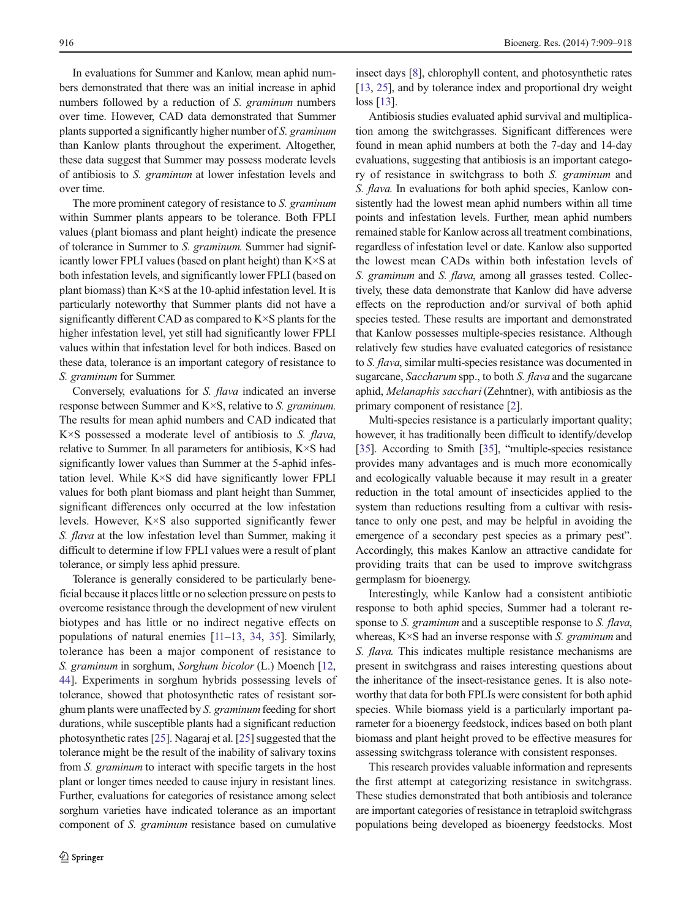In evaluations for Summer and Kanlow, mean aphid numbers demonstrated that there was an initial increase in aphid numbers followed by a reduction of S. graminum numbers over time. However, CAD data demonstrated that Summer plants supported a significantly higher number of S. graminum than Kanlow plants throughout the experiment. Altogether, these data suggest that Summer may possess moderate levels of antibiosis to S. graminum at lower infestation levels and over time.

The more prominent category of resistance to S. graminum within Summer plants appears to be tolerance. Both FPLI values (plant biomass and plant height) indicate the presence of tolerance in Summer to S. graminum. Summer had significantly lower FPLI values (based on plant height) than K×S at both infestation levels, and significantly lower FPLI (based on plant biomass) than K×S at the 10-aphid infestation level. It is particularly noteworthy that Summer plants did not have a significantly different CAD as compared to K×S plants for the higher infestation level, yet still had significantly lower FPLI values within that infestation level for both indices. Based on these data, tolerance is an important category of resistance to S. graminum for Summer.

Conversely, evaluations for S. flava indicated an inverse response between Summer and K×S, relative to S. graminum. The results for mean aphid numbers and CAD indicated that  $K \times S$  possessed a moderate level of antibiosis to S. flava, relative to Summer. In all parameters for antibiosis, K×S had significantly lower values than Summer at the 5-aphid infestation level. While K×S did have significantly lower FPLI values for both plant biomass and plant height than Summer, significant differences only occurred at the low infestation levels. However, K×S also supported significantly fewer S. *flava* at the low infestation level than Summer, making it difficult to determine if low FPLI values were a result of plant tolerance, or simply less aphid pressure.

Tolerance is generally considered to be particularly beneficial because it places little or no selection pressure on pests to overcome resistance through the development of new virulent biotypes and has little or no indirect negative effects on populations of natural enemies [\[11](#page-8-0)–[13](#page-8-0), [34](#page-9-0), [35\]](#page-9-0). Similarly, tolerance has been a major component of resistance to S. graminum in sorghum, Sorghum bicolor (L.) Moench [[12,](#page-8-0) [44\]](#page-9-0). Experiments in sorghum hybrids possessing levels of tolerance, showed that photosynthetic rates of resistant sorghum plants were unaffected by S. graminum feeding for short durations, while susceptible plants had a significant reduction photosynthetic rates [\[25\]](#page-9-0). Nagaraj et al. [[25\]](#page-9-0) suggested that the tolerance might be the result of the inability of salivary toxins from S. *graminum* to interact with specific targets in the host plant or longer times needed to cause injury in resistant lines. Further, evaluations for categories of resistance among select sorghum varieties have indicated tolerance as an important component of S. graminum resistance based on cumulative

insect days [\[8](#page-8-0)], chlorophyll content, and photosynthetic rates [\[13](#page-8-0), [25](#page-9-0)], and by tolerance index and proportional dry weight loss [\[13\]](#page-8-0).

Antibiosis studies evaluated aphid survival and multiplication among the switchgrasses. Significant differences were found in mean aphid numbers at both the 7-day and 14-day evaluations, suggesting that antibiosis is an important category of resistance in switchgrass to both S. graminum and S. *flava*. In evaluations for both aphid species, Kanlow consistently had the lowest mean aphid numbers within all time points and infestation levels. Further, mean aphid numbers remained stable for Kanlow across all treatment combinations, regardless of infestation level or date. Kanlow also supported the lowest mean CADs within both infestation levels of S. graminum and S. flava, among all grasses tested. Collectively, these data demonstrate that Kanlow did have adverse effects on the reproduction and/or survival of both aphid species tested. These results are important and demonstrated that Kanlow possesses multiple-species resistance. Although relatively few studies have evaluated categories of resistance to S. flava, similar multi-species resistance was documented in sugarcane, Saccharum spp., to both S. flava and the sugarcane aphid, Melanaphis sacchari (Zehntner), with antibiosis as the primary component of resistance [[2](#page-8-0)].

Multi-species resistance is a particularly important quality; however, it has traditionally been difficult to identify/develop [\[35](#page-9-0)]. According to Smith [[35](#page-9-0)], "multiple-species resistance provides many advantages and is much more economically and ecologically valuable because it may result in a greater reduction in the total amount of insecticides applied to the system than reductions resulting from a cultivar with resistance to only one pest, and may be helpful in avoiding the emergence of a secondary pest species as a primary pest". Accordingly, this makes Kanlow an attractive candidate for providing traits that can be used to improve switchgrass germplasm for bioenergy.

Interestingly, while Kanlow had a consistent antibiotic response to both aphid species, Summer had a tolerant response to *S. graminum* and a susceptible response to *S. flava*, whereas, K×S had an inverse response with S. *graminum* and S. *flava*. This indicates multiple resistance mechanisms are present in switchgrass and raises interesting questions about the inheritance of the insect-resistance genes. It is also noteworthy that data for both FPLIs were consistent for both aphid species. While biomass yield is a particularly important parameter for a bioenergy feedstock, indices based on both plant biomass and plant height proved to be effective measures for assessing switchgrass tolerance with consistent responses.

This research provides valuable information and represents the first attempt at categorizing resistance in switchgrass. These studies demonstrated that both antibiosis and tolerance are important categories of resistance in tetraploid switchgrass populations being developed as bioenergy feedstocks. Most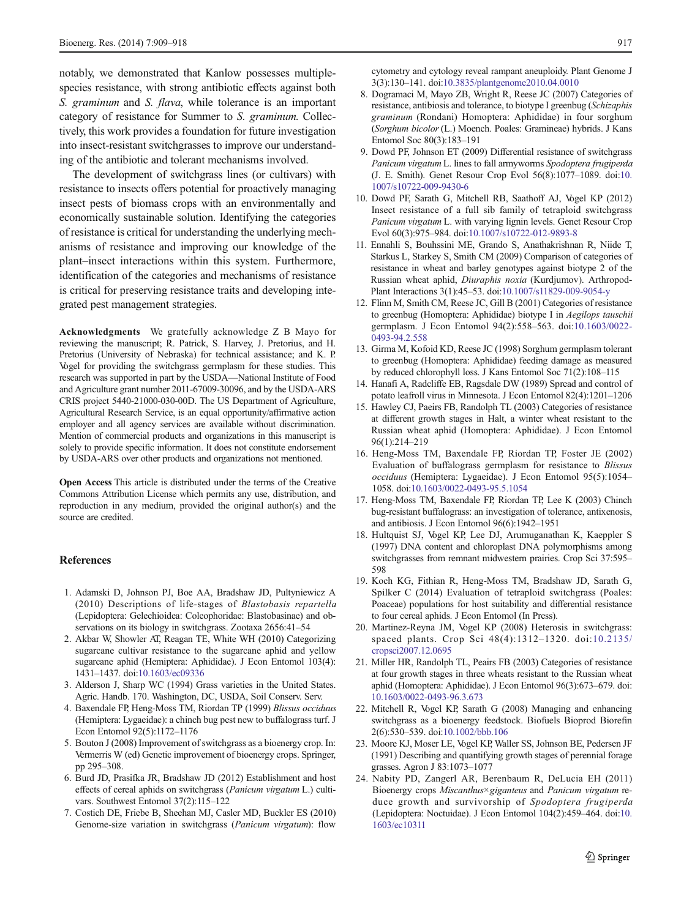<span id="page-8-0"></span>notably, we demonstrated that Kanlow possesses multiplespecies resistance, with strong antibiotic effects against both S. graminum and S. flava, while tolerance is an important category of resistance for Summer to S. graminum. Collectively, this work provides a foundation for future investigation into insect-resistant switchgrasses to improve our understanding of the antibiotic and tolerant mechanisms involved.

The development of switchgrass lines (or cultivars) with resistance to insects offers potential for proactively managing insect pests of biomass crops with an environmentally and economically sustainable solution. Identifying the categories of resistance is critical for understanding the underlying mechanisms of resistance and improving our knowledge of the plant–insect interactions within this system. Furthermore, identification of the categories and mechanisms of resistance is critical for preserving resistance traits and developing integrated pest management strategies.

Acknowledgments We gratefully acknowledge Z B Mayo for reviewing the manuscript; R. Patrick, S. Harvey, J. Pretorius, and H. Pretorius (University of Nebraska) for technical assistance; and K. P. Vogel for providing the switchgrass germplasm for these studies. This research was supported in part by the USDA—National Institute of Food and Agriculture grant number 2011-67009-30096, and by the USDA-ARS CRIS project 5440-21000-030-00D. The US Department of Agriculture, Agricultural Research Service, is an equal opportunity/affirmative action employer and all agency services are available without discrimination. Mention of commercial products and organizations in this manuscript is solely to provide specific information. It does not constitute endorsement by USDA-ARS over other products and organizations not mentioned.

Open Access This article is distributed under the terms of the Creative Commons Attribution License which permits any use, distribution, and reproduction in any medium, provided the original author(s) and the source are credited.

#### References

- 1. Adamski D, Johnson PJ, Boe AA, Bradshaw JD, Pultyniewicz A (2010) Descriptions of life-stages of Blastobasis repartella (Lepidoptera: Gelechioidea: Coleophoridae: Blastobasinae) and observations on its biology in switchgrass. Zootaxa 2656:41–54
- 2. Akbar W, Showler AT, Reagan TE, White WH (2010) Categorizing sugarcane cultivar resistance to the sugarcane aphid and yellow sugarcane aphid (Hemiptera: Aphididae). J Econ Entomol 103(4): 1431–1437. doi[:10.1603/ec09336](http://dx.doi.org/10.1603/ec09336)
- 3. Alderson J, Sharp WC (1994) Grass varieties in the United States. Agric. Handb. 170. Washington, DC, USDA, Soil Conserv. Serv.
- 4. Baxendale FP, Heng-Moss TM, Riordan TP (1999) Blissus occiduus (Hemiptera: Lygaeidae): a chinch bug pest new to buffalograss turf. J Econ Entomol 92(5):1172–1176
- 5. Bouton J (2008) Improvement of switchgrass as a bioenergy crop. In: Vermerris W (ed) Genetic improvement of bioenergy crops. Springer, pp 295–308.
- 6. Burd JD, Prasifka JR, Bradshaw JD (2012) Establishment and host effects of cereal aphids on switchgrass (Panicum virgatum L.) cultivars. Southwest Entomol 37(2):115–122
- 7. Costich DE, Friebe B, Sheehan MJ, Casler MD, Buckler ES (2010) Genome-size variation in switchgrass (Panicum virgatum): flow

cytometry and cytology reveal rampant aneuploidy. Plant Genome J 3(3):130–141. doi:[10.3835/plantgenome2010.04.0010](http://dx.doi.org/10.3835/plantgenome2010.04.0010)

- 8. Dogramaci M, Mayo ZB, Wright R, Reese JC (2007) Categories of resistance, antibiosis and tolerance, to biotype I greenbug (Schizaphis graminum (Rondani) Homoptera: Aphididae) in four sorghum (Sorghum bicolor (L.) Moench. Poales: Gramineae) hybrids. J Kans Entomol Soc 80(3):183–191
- 9. Dowd PF, Johnson ET (2009) Differential resistance of switchgrass Panicum virgatum L. lines to fall armyworms Spodoptera frugiperda (J. E. Smith). Genet Resour Crop Evol 56(8):1077–1089. doi[:10.](http://dx.doi.org/10.1007/s10722-009-9430-6) [1007/s10722-009-9430-6](http://dx.doi.org/10.1007/s10722-009-9430-6)
- 10. Dowd PF, Sarath G, Mitchell RB, Saathoff AJ, Vogel KP (2012) Insect resistance of a full sib family of tetraploid switchgrass Panicum virgatum L. with varying lignin levels. Genet Resour Crop Evol 60(3):975–984. doi[:10.1007/s10722-012-9893-8](http://dx.doi.org/10.1007/s10722-012-9893-8)
- 11. Ennahli S, Bouhssini ME, Grando S, Anathakrishnan R, Niide T, Starkus L, Starkey S, Smith CM (2009) Comparison of categories of resistance in wheat and barley genotypes against biotype 2 of the Russian wheat aphid, Diuraphis noxia (Kurdjumov). Arthropod-Plant Interactions 3(1):45–53. doi[:10.1007/s11829-009-9054-y](http://dx.doi.org/10.1007/s11829-009-9054-y)
- 12. Flinn M, Smith CM, Reese JC, Gill B (2001) Categories of resistance to greenbug (Homoptera: Aphididae) biotype I in Aegilops tauschii germplasm. J Econ Entomol 94(2):558–563. doi[:10.1603/0022-](http://dx.doi.org/10.1603/0022-0493-94.2.558) [0493-94.2.558](http://dx.doi.org/10.1603/0022-0493-94.2.558)
- 13. Girma M, Kofoid KD, Reese JC (1998) Sorghum germplasm tolerant to greenbug (Homoptera: Aphididae) feeding damage as measured by reduced chlorophyll loss. J Kans Entomol Soc 71(2):108–115
- 14. Hanafi A, Radcliffe EB, Ragsdale DW (1989) Spread and control of potato leafroll virus in Minnesota. J Econ Entomol 82(4):1201–1206
- 15. Hawley CJ, Paeirs FB, Randolph TL (2003) Categories of resistance at different growth stages in Halt, a winter wheat resistant to the Russian wheat aphid (Homoptera: Aphididae). J Econ Entomol 96(1):214–219
- 16. Heng-Moss TM, Baxendale FP, Riordan TP, Foster JE (2002) Evaluation of buffalograss germplasm for resistance to Blissus occiduus (Hemiptera: Lygaeidae). J Econ Entomol 95(5):1054– 1058. doi[:10.1603/0022-0493-95.5.1054](http://dx.doi.org/10.1603/0022-0493-95.5.1054)
- 17. Heng-Moss TM, Baxendale FP, Riordan TP, Lee K (2003) Chinch bug-resistant buffalograss: an investigation of tolerance, antixenosis, and antibiosis. J Econ Entomol 96(6):1942–1951
- 18. Hultquist SJ, Vogel KP, Lee DJ, Arumuganathan K, Kaeppler S (1997) DNA content and chloroplast DNA polymorphisms among switchgrasses from remnant midwestern prairies. Crop Sci 37:595– 598
- 19. Koch KG, Fithian R, Heng-Moss TM, Bradshaw JD, Sarath G, Spilker C (2014) Evaluation of tetraploid switchgrass (Poales: Poaceae) populations for host suitability and differential resistance to four cereal aphids. J Econ Entomol (In Press).
- 20. Martinez-Reyna JM, Vogel KP (2008) Heterosis in switchgrass: spaced plants. Crop Sci 48(4):1312–1320. doi:[10.2135/](http://dx.doi.org/10.2135/cropsci2007.12.0695) [cropsci2007.12.0695](http://dx.doi.org/10.2135/cropsci2007.12.0695)
- 21. Miller HR, Randolph TL, Peairs FB (2003) Categories of resistance at four growth stages in three wheats resistant to the Russian wheat aphid (Homoptera: Aphididae). J Econ Entomol 96(3):673–679. doi: [10.1603/0022-0493-96.3.673](http://dx.doi.org/10.1603/0022-0493-96.3.673)
- 22. Mitchell R, Vogel KP, Sarath G (2008) Managing and enhancing switchgrass as a bioenergy feedstock. Biofuels Bioprod Biorefin 2(6):530–539. doi[:10.1002/bbb.106](http://dx.doi.org/10.1002/bbb.106)
- 23. Moore KJ, Moser LE, Vogel KP, Waller SS, Johnson BE, Pedersen JF (1991) Describing and quantifying growth stages of perennial forage grasses. Agron J 83:1073–1077
- 24. Nabity PD, Zangerl AR, Berenbaum R, DeLucia EH (2011) Bioenergy crops Miscanthus×giganteus and Panicum virgatum reduce growth and survivorship of Spodoptera frugiperda (Lepidoptera: Noctuidae). J Econ Entomol 104(2):459–464. doi[:10.](http://dx.doi.org/10.1603/ec10311) [1603/ec10311](http://dx.doi.org/10.1603/ec10311)